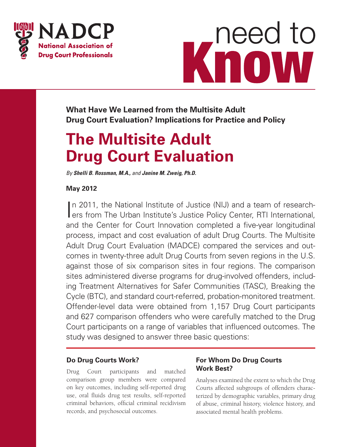



**What Have We Learned from the Multisite Adult Drug Court Evaluation? Implications for Practice and Policy**

# **The Multisite Adult Drug Court Evaluation**

*By Shelli B. Rossman, M.A., and Janine M. Zweig, Ph.D.*

### **May 2012**

In 2011, the National Institute of Justice (NIJ) and a team of research-<br>International, ers from The Urban Institute's Justice Policy Center, RTI International, In 2011, the National Institute of Justice (NIJ) and a team of researchand the Center for Court Innovation completed a five-year longitudinal process, impact and cost evaluation of adult Drug Courts. The Multisite Adult Drug Court Evaluation (MADCE) compared the services and outcomes in twenty-three adult Drug Courts from seven regions in the U.S. against those of six comparison sites in four regions. The comparison sites administered diverse programs for drug-involved offenders, including Treatment Alternatives for Safer Communities (TASC), Breaking the Cycle (BTC), and standard court-referred, probation-monitored treatment. Offender-level data were obtained from 1,157 Drug Court participants and 627 comparison offenders who were carefully matched to the Drug Court participants on a range of variables that influenced outcomes. The study was designed to answer three basic questions:

### **Do Drug Courts Work?**

Drug Court participants and matched comparison group members were compared on key outcomes, including self-reported drug use, oral fluids drug test results, self-reported criminal behaviors, official criminal recidivism records, and psychosocial outcomes.

### **For Whom Do Drug Courts Work Best?**

Analyses examined the extent to which the Drug Courts affected subgroups of offenders characterized by demographic variables, primary drug of abuse, criminal history, violence history, and associated mental health problems.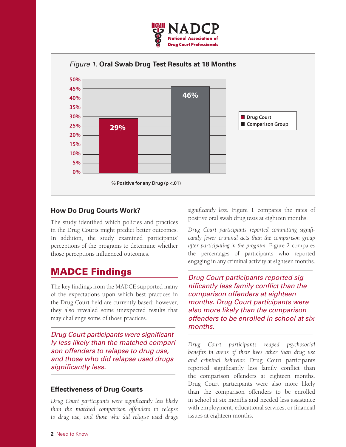



### **How Do Drug Courts Work?**

The study identified which policies and practices in the Drug Courts might predict better outcomes. In addition, the study examined participants' perceptions of the programs to determine whether those perceptions influenced outcomes.

# MADCE Findings

The key findings from the MADCE supported many of the expectations upon which best practices in the Drug Court field are currently based; however, they also revealed some unexpected results that may challenge some of those practices.

*Drug Court participants were significantly less likely than the matched comparison offenders to relapse to drug use, and those who did relapse used drugs significantly less.*

#### **Effectiveness of Drug Courts**

*Drug Court participants were significantly less likely than the matched comparison offenders to relapse to drug use, and those who did relapse used drugs*  *significantly less.* Figure 1 compares the rates of positive oral swab drug tests at eighteen months.

*Drug Court participants reported committing significantly fewer criminal acts than the comparison group after participating in the program.* Figure 2 compares the percentages of participants who reported engaging in any criminal activity at eighteen months.

*Drug Court participants reported significantly less family conflict than the comparison offenders at eighteen months. Drug Court participants were also more likely than the comparison offenders to be enrolled in school at six months.*

*Drug Court participants reaped psychosocial benefits in areas of their lives other than drug use and criminal behavior.* Drug Court participants reported significantly less family conflict than the comparison offenders at eighteen months. Drug Court participants were also more likely than the comparison offenders to be enrolled in school at six months and needed less assistance with employment, educational services, or financial issues at eighteen months.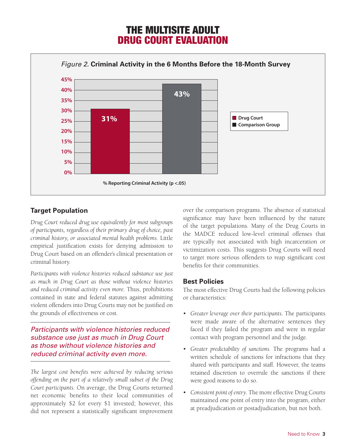# THE MULTISITE ADULT DRUG COURT EVALUATION



### **Target Population**

*Drug Court reduced drug use equivalently for most subgroups of participants, regardless of their primary drug of choice, past criminal history, or associated mental health problems.* Little empirical justification exists for denying admission to Drug Court based on an offender's clinical presentation or criminal history.

*Participants with violence histories reduced substance use just as much in Drug Court as those without violence histories and reduced criminal activity even more.* Thus, prohibitions contained in state and federal statutes against admitting violent offenders into Drug Courts may not be justified on the grounds of effectiveness or cost.

*Participants with violence histories reduced substance use just as much in Drug Court as those without violence histories and reduced criminal activity even more.*

*The largest cost benefits were achieved by reducing serious offending on the part of a relatively small subset of the Drug Court participants.* On average, the Drug Courts returned net economic benefits to their local communities of approximately \$2 for every \$1 invested; however, this did not represent a statistically significant improvement

over the comparison programs. The absence of statistical significance may have been influenced by the nature of the target populations. Many of the Drug Courts in the MADCE reduced low-level criminal offenses that are typically not associated with high incarceration or victimization costs. This suggests Drug Courts will need to target more serious offenders to reap significant cost benefits for their communities.

#### **Best Policies**

The most effective Drug Courts had the following policies or characteristics:

- • *Greater leverage over their participants.* The participants were made aware of the alternative sentences they faced if they failed the program and were in regular contact with program personnel and the judge.
- • *Greater predictability of sanctions.* The programs had a written schedule of sanctions for infractions that they shared with participants and staff. However, the teams retained discretion to overrule the sanctions if there were good reasons to do so.
- Consistent point of entry. The more effective Drug Courts maintained one point of entry into the program, either at preadjudication or postadjudication, but not both.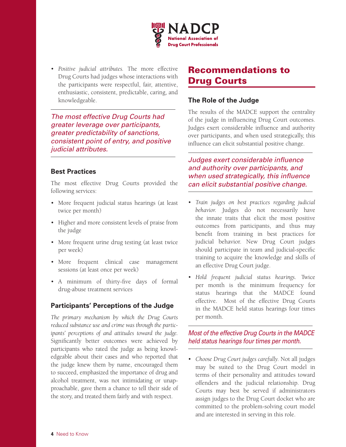

• *Positive judicial attributes.* The more effective Drug Courts had judges whose interactions with the participants were respectful, fair, attentive, enthusiastic, consistent, predictable, caring, and knowledgeable.

*The most effective Drug Courts had greater leverage over participants, greater predictability of sanctions, consistent point of entry, and positive judicial attributes.*

#### **Best Practices**

The most effective Drug Courts provided the following services:

- More frequent judicial status hearings (at least twice per month)
- • Higher and more consistent levels of praise from the judge
- More frequent urine drug testing (at least twice per week)
- More frequent clinical case management sessions (at least once per week)
- • A minimum of thirty-five days of formal drug-abuse treatment services

#### **Participants' Perceptions of the Judge**

*The primary mechanism by which the Drug Courts reduced substance use and crime was through the participants' perceptions of and attitudes toward the judge.* Significantly better outcomes were achieved by participants who rated the judge as being knowledgeable about their cases and who reported that the judge knew them by name, encouraged them to succeed, emphasized the importance of drug and alcohol treatment, was not intimidating or unapproachable, gave them a chance to tell their side of the story, and treated them fairly and with respect.

# Recommendations to Drug Courts

#### **The Role of the Judge**

The results of the MADCE support the centrality of the judge in influencing Drug Court outcomes. Judges exert considerable influence and authority over participants, and when used strategically, this influence can elicit substantial positive change.

*Judges exert considerable influence and authority over participants, and when used strategically, this influence can elicit substantial positive change.*

- • *Train judges on best practices regarding judicial behavior.* Judges do not necessarily have the innate traits that elicit the most positive outcomes from participants, and thus may benefit from training in best practices for judicial behavior. New Drug Court judges should participate in team and judicial-specific training to acquire the knowledge and skills of an effective Drug Court judge.
- • *Hold frequent judicial status hearings.* Twice per month is the minimum frequency for status hearings that the MADCE found effective. Most of the effective Drug Courts in the MADCE held status hearings four times per month.

*Most of the effective Drug Courts in the MADCE held status hearings four times per month.*

• *Choose Drug Court judges carefully*. Not all judges may be suited to the Drug Court model in terms of their personality and attitudes toward offenders and the judicial relationship. Drug Courts may best be served if administrators assign judges to the Drug Court docket who are committed to the problem-solving court model and are interested in serving in this role.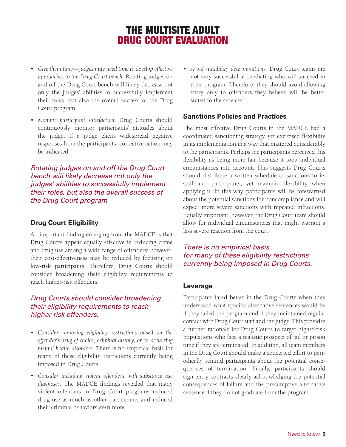# THE MULTISITE ADULT DRUG COURT EVALUATION

- • *Give them time—judges may need time to develop effective approaches to the Drug Court bench.* Rotating judges on and off the Drug Court bench will likely decrease not only the judges' abilities to successfully implement their roles, but also the overall success of the Drug Court program.
- • *Monitor participant satisfaction.* Drug Courts should continuously monitor participants' attitudes about the judge. If a judge elicits widespread negative responses from the participants, corrective action may be indicated.

*Rotating judges on and off the Drug Court bench will likely decrease not only the judges' abilities to successfully implement their roles, but also the overall success of the Drug Court program*

#### **Drug Court Eligibility**

An important finding emerging from the MADCE is that Drug Courts appear equally effective in reducing crime and drug use among a wide range of offenders; however, their cost-effectiveness may be reduced by focusing on low-risk participants. Therefore, Drug Courts should consider broadening their eligibility requirements to reach higher-risk offenders.

### *Drug Courts should consider broadening their eligibility requirements to reach higher-risk offenders.*

- • *Consider removing eligibility restrictions based on the offender's drug of choice, criminal history, or co-occurring mental health disorders.* There is no empirical basis for many of these eligibility restrictions currently being imposed in Drug Courts.
- • *Consider including violent offenders with substance use diagnoses.* The MADCE findings revealed that many violent offenders in Drug Court programs reduced drug use as much as other participants and reduced their criminal behaviors even more.

• *Avoid suitability determinations.* Drug Court teams are not very successful at predicting who will succeed in their program. Therefore, they should avoid allowing entry only to offenders they believe will be better suited to the services.

#### **Sanctions Policies and Practices**

The most effective Drug Courts in the MADCE had a coordinated sanctioning strategy, yet exercised flexibility in its implementation in a way that mattered considerably to the participants. Perhaps the participants perceived this flexibility as being more fair because it took individual circumstances into account. This suggests Drug Courts should distribute a written schedule of sanctions to its staff and participants, yet maintain flexibility when applying it. In this way, participants will be forewarned about the potential sanctions for noncompliance and will expect more severe sanctions with repeated infractions. Equally important, however, the Drug Court team should allow for individual circumstances that might warrant a less severe reaction from the court.

*There is no empirical basis for many of these eligibility restrictions currently being imposed in Drug Courts.*

#### **Leverage**

Participants fared better in the Drug Courts when they understood what specific alternative sentences would be if they failed the program and if they maintained regular contact with Drug Court staff and the judge. This provides a further rationale for Drug Courts to target higher-risk populations who face a realistic prospect of jail or prison time if they are terminated. In addition, all team members in the Drug Court should make a concerted effort to periodically remind participants about the potential consequences of termination. Finally, participants should sign entry contracts clearly acknowledging the potential consequences of failure and the presumptive alternative sentence if they do not graduate from the program.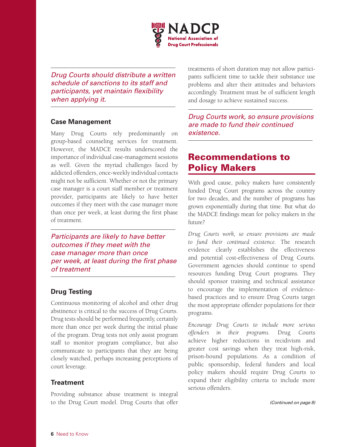

*Drug Courts should distribute a written schedule of sanctions to its staff and participants, yet maintain flexibility when applying it.*

#### **Case Management**

Many Drug Courts rely predominantly on group-based counseling services for treatment. However, the MADCE results underscored the importance of individual case-management sessions as well. Given the myriad challenges faced by addicted offenders, once-weekly individual contacts might not be sufficient. Whether or not the primary case manager is a court staff member or treatment provider, participants are likely to have better outcomes if they meet with the case manager more than once per week, at least during the first phase of treatment.

*Participants are likely to have better outcomes if they meet with the case manager more than once per week, at least during the first phase of treatment*

#### **Drug Testing**

Continuous monitoring of alcohol and other drug abstinence is critical to the success of Drug Courts. Drug tests should be performed frequently, certainly more than once per week during the initial phase of the program. Drug tests not only assist program staff to monitor program compliance, but also communicate to participants that they are being closely watched, perhaps increasing perceptions of court leverage.

#### **Treatment**

Providing substance abuse treatment is integral to the Drug Court model. Drug Courts that offer

treatments of short duration may not allow participants sufficient time to tackle their substance use problems and alter their attitudes and behaviors accordingly. Treatment must be of sufficient length and dosage to achieve sustained success.

*Drug Courts work, so ensure provisions are made to fund their continued existence.*

# Recommendations to Policy Makers

With good cause, policy makers have consistently funded Drug Court programs across the country for two decades, and the number of programs has grown exponentially during that time. But what do the MADCE findings mean for policy makers in the future?

*Drug Courts work, so ensure provisions are made to fund their continued existence.* The research evidence clearly establishes the effectiveness and potential cost-effectiveness of Drug Courts. Government agencies should continue to spend resources funding Drug Court programs. They should sponsor training and technical assistance to encourage the implementation of evidencebased practices and to ensure Drug Courts target the most appropriate offender populations for their programs.

*Encourage Drug Courts to include more serious offenders in their programs*. Drug Courts achieve higher reductions in recidivism and greater cost savings when they treat high-risk, prison-bound populations. As a condition of public sponsorship, federal funders and local policy makers should require Drug Courts to expand their eligibility criteria to include more serious offenders.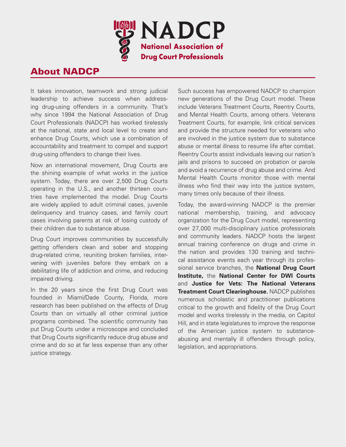

# About NADCP

It takes innovation, teamwork and strong judicial leadership to achieve success when addressing drug-using offenders in a community. That's why since 1994 the National Association of Drug Court Professionals (NADCP) has worked tirelessly at the national, state and local level to create and enhance Drug Courts, which use a combination of accountability and treatment to compel and support drug-using offenders to change their lives.

Now an international movement, Drug Courts are the shining example of what works in the justice system. Today, there are over 2,500 Drug Courts operating in the U.S., and another thirteen countries have implemented the model. Drug Courts are widely applied to adult criminal cases, juvenile delinquency and truancy cases, and family court cases involving parents at risk of losing custody of their children due to substance abuse.

Drug Court improves communities by successfully getting offenders clean and sober and stopping drug-related crime, reuniting broken families, intervening with juveniles before they embark on a debilitating life of addiction and crime, and reducing impaired driving.

In the 20 years since the first Drug Court was founded in Miami/Dade County, Florida, more research has been published on the effects of Drug Courts than on virtually all other criminal justice programs combined. The scientific community has put Drug Courts under a microscope and concluded that Drug Courts significantly reduce drug abuse and crime and do so at far less expense than any other justice strategy.

Such success has empowered NADCP to champion new generations of the Drug Court model. These include Veterans Treatment Courts, Reentry Courts, and Mental Health Courts, among others. Veterans Treatment Courts, for example, link critical services and provide the structure needed for veterans who are involved in the justice system due to substance abuse or mental illness to resume life after combat. Reentry Courts assist individuals leaving our nation's jails and prisons to succeed on probation or parole and avoid a recurrence of drug abuse and crime. And Mental Health Courts monitor those with mental illness who find their way into the justice system, many times only because of their illness.

Today, the award-winning NADCP is the premier national membership, training, and advocacy organization for the Drug Court model, representing over 27,000 multi-disciplinary justice professionals and community leaders. NADCP hosts the largest annual training conference on drugs and crime in the nation and provides 130 training and technical assistance events each year through its professional service branches, the **National Drug Court Institute,** the **National Center for DWI Courts**  and **Justice for Vets: The National Veterans Treatment Court Clearinghouse.** NADCP publishes numerous scholastic and practitioner publications critical to the growth and fidelity of the Drug Court model and works tirelessly in the media, on Capitol Hill, and in state legislatures to improve the response of the American justice system to substanceabusing and mentally ill offenders through policy, legislation, and appropriations.